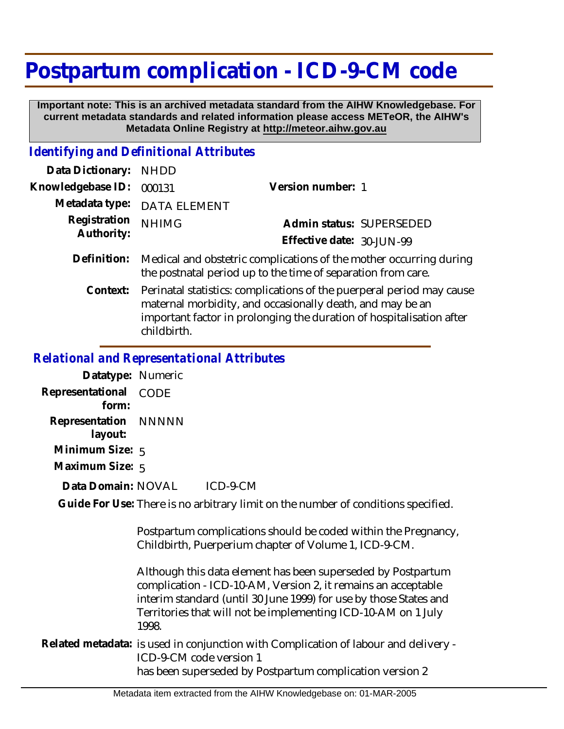## **Postpartum complication - ICD-9-CM code**

 **Important note: This is an archived metadata standard from the AIHW Knowledgebase. For current metadata standards and related information please access METeOR, the AIHW's Metadata Online Registry at http://meteor.aihw.gov.au**

## *Identifying and Definitional Attributes*

| Data Dictionary: NHDD      |                                                                                                                                    |                           |                          |
|----------------------------|------------------------------------------------------------------------------------------------------------------------------------|---------------------------|--------------------------|
| Knowledgebase ID: 000131   |                                                                                                                                    | Version number: 1         |                          |
|                            | Metadata type: DATA ELEMENT                                                                                                        |                           |                          |
| Registration<br>Authority: | <b>NHIMG</b>                                                                                                                       |                           | Admin status: SUPERSEDED |
|                            |                                                                                                                                    | Effective date: 30-JUN-99 |                          |
| Definition:                | Medical and obstetric complications of the mother occurring during<br>the postnatal period up to the time of separation from care. |                           |                          |

Perinatal statistics: complications of the puerperal period may cause maternal morbidity, and occasionally death, and may be an important factor in prolonging the duration of hospitalisation after childbirth. **Context:**

## *Relational and Representational Attributes*

| Datatype: Numeric               |      |          |
|---------------------------------|------|----------|
| Representational<br>form:       | CODE |          |
| Representation NNNNN<br>layout: |      |          |
| Minimum Size: 5                 |      |          |
| Maximum Size: 5                 |      |          |
| Data Domain: NOVAL              |      | ICD-9-CM |

Guide For Use: There is no arbitrary limit on the number of conditions specified.

Postpartum complications should be coded within the Pregnancy, Childbirth, Puerperium chapter of Volume 1, ICD-9-CM.

Although this data element has been superseded by Postpartum complication - ICD-10-AM, Version 2, it remains an acceptable interim standard (until 30 June 1999) for use by those States and Territories that will not be implementing ICD-10-AM on 1 July 1998.

Related metadata: is used in conjunction with Complication of labour and delivery -ICD-9-CM code version 1 has been superseded by Postpartum complication version 2